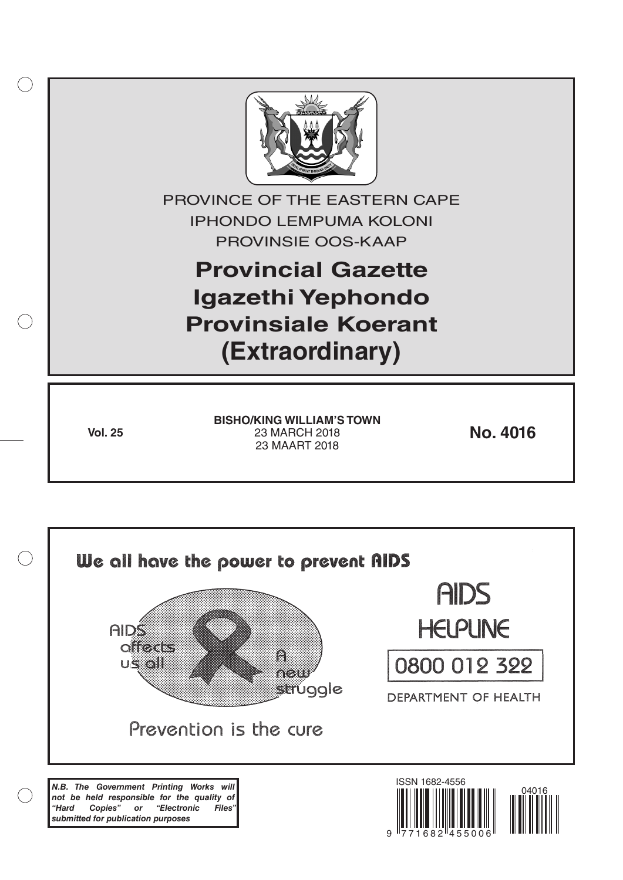

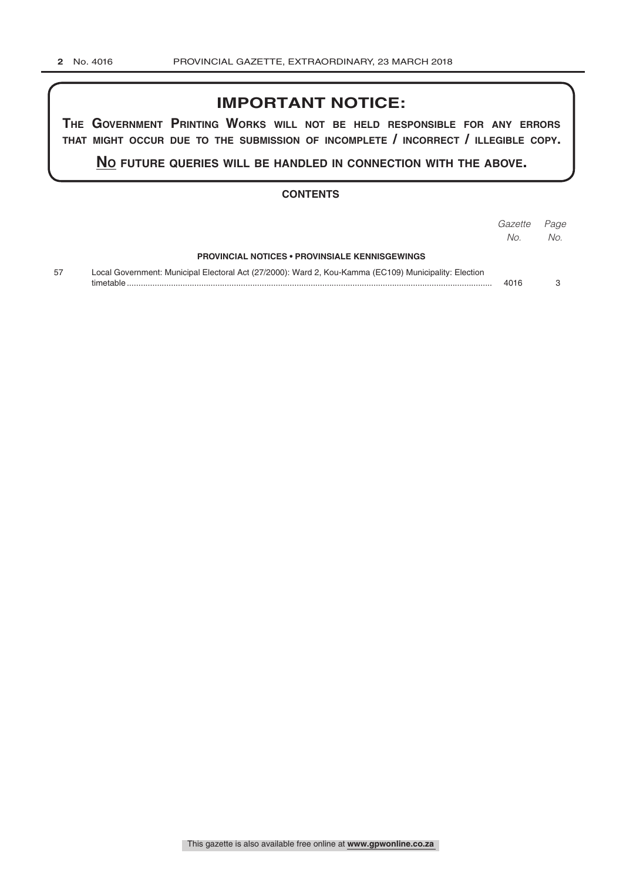# **IMPORTANT NOTICE:**

**The GovernmenT PrinTinG Works Will noT be held resPonsible for any errors ThaT miGhT occur due To The submission of incomPleTe / incorrecT / illeGible coPy.**

**no fuTure queries Will be handled in connecTion WiTh The above.**

#### **CONTENTS**

|    |                                                                                                                    | Gazette<br>No. | Page<br>No. |
|----|--------------------------------------------------------------------------------------------------------------------|----------------|-------------|
|    | <b>PROVINCIAL NOTICES • PROVINSIALE KENNISGEWINGS</b>                                                              |                |             |
| 57 | Local Government: Municipal Electoral Act (27/2000): Ward 2, Kou-Kamma (EC109) Municipality: Election<br>timetable | 4016           |             |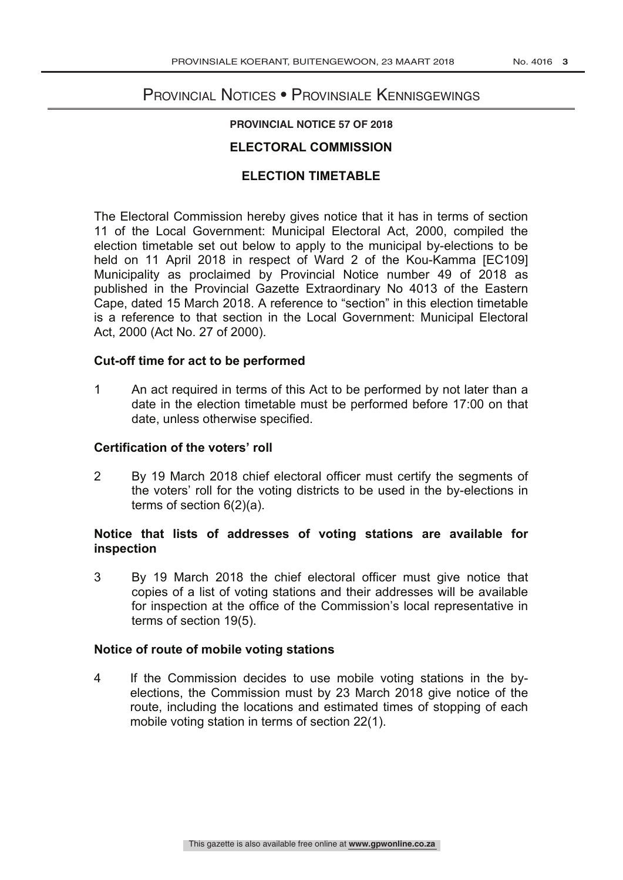# Provincial Notices • Provinsiale Kennisgewings

#### **PROVINCIAL NOTICE 57 OF 2018**

# **ELECTORAL COMMISSION**

### **ELECTION TIMETABLE**

The Electoral Commission hereby gives notice that it has in terms of section 11 of the Local Government: Municipal Electoral Act, 2000, compiled the election timetable set out below to apply to the municipal by-elections to be held on 11 April 2018 in respect of Ward 2 of the Kou-Kamma [EC109] Municipality as proclaimed by Provincial Notice number 49 of 2018 as published in the Provincial Gazette Extraordinary No 4013 of the Eastern Cape, dated 15 March 2018. A reference to "section" in this election timetable is a reference to that section in the Local Government: Municipal Electoral Act, 2000 (Act No. 27 of 2000).

#### **Cut-off time for act to be performed**

1 An act required in terms of this Act to be performed by not later than a date in the election timetable must be performed before 17:00 on that date, unless otherwise specified.

#### **Certification of the voters' roll**

2 By 19 March 2018 chief electoral officer must certify the segments of the voters' roll for the voting districts to be used in the by-elections in terms of section 6(2)(a).

## **Notice that lists of addresses of voting stations are available for inspection**

3 By 19 March 2018 the chief electoral officer must give notice that copies of a list of voting stations and their addresses will be available for inspection at the office of the Commission's local representative in terms of section 19(5).

#### **Notice of route of mobile voting stations**

4 If the Commission decides to use mobile voting stations in the byelections, the Commission must by 23 March 2018 give notice of the route, including the locations and estimated times of stopping of each mobile voting station in terms of section 22(1).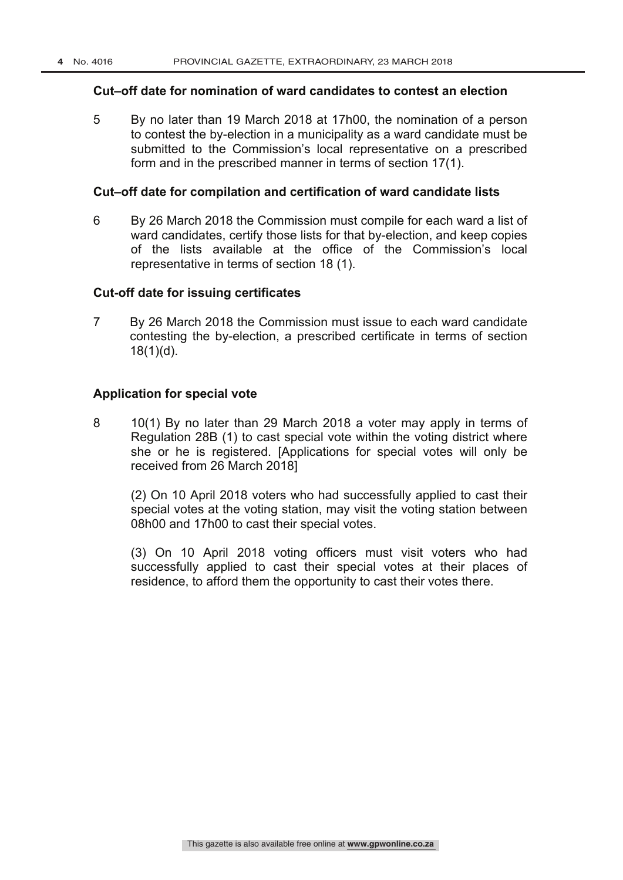#### **Cut–off date for nomination of ward candidates to contest an election**

5 By no later than 19 March 2018 at 17h00, the nomination of a person to contest the by-election in a municipality as a ward candidate must be submitted to the Commission's local representative on a prescribed form and in the prescribed manner in terms of section 17(1).

#### **Cut–off date for compilation and certification of ward candidate lists**

6 By 26 March 2018 the Commission must compile for each ward a list of ward candidates, certify those lists for that by-election, and keep copies of the lists available at the office of the Commission's local representative in terms of section 18 (1).

#### **Cut-off date for issuing certificates**

7 By 26 March 2018 the Commission must issue to each ward candidate contesting the by-election, a prescribed certificate in terms of section 18(1)(d).

#### **Application for special vote**

8 10(1) By no later than 29 March 2018 a voter may apply in terms of Regulation 28B (1) to cast special vote within the voting district where she or he is registered. [Applications for special votes will only be received from 26 March 2018]

(2) On 10 April 2018 voters who had successfully applied to cast their special votes at the voting station, may visit the voting station between 08h00 and 17h00 to cast their special votes.

(3) On 10 April 2018 voting officers must visit voters who had successfully applied to cast their special votes at their places of residence, to afford them the opportunity to cast their votes there.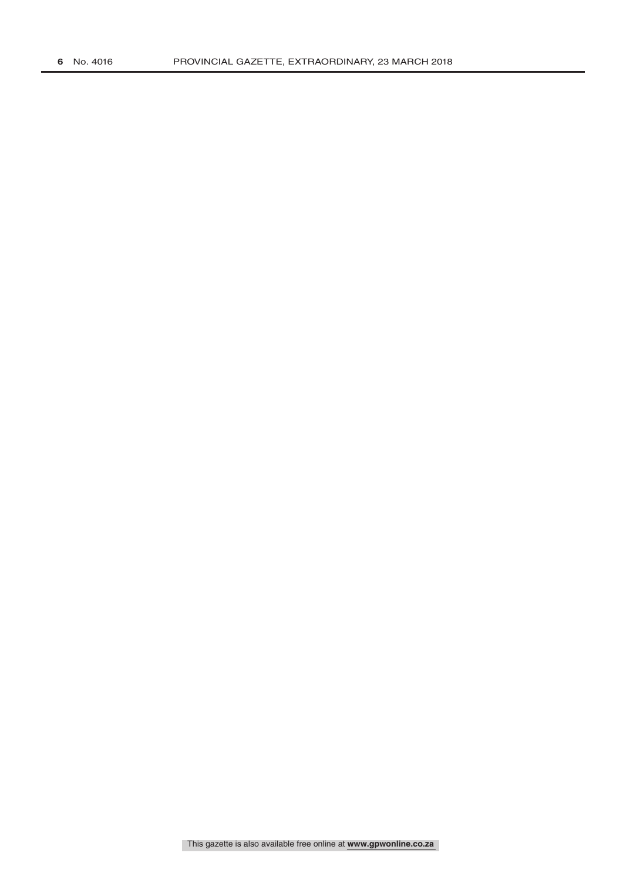This gazette is also available free online at **www.gpwonline.co.za**